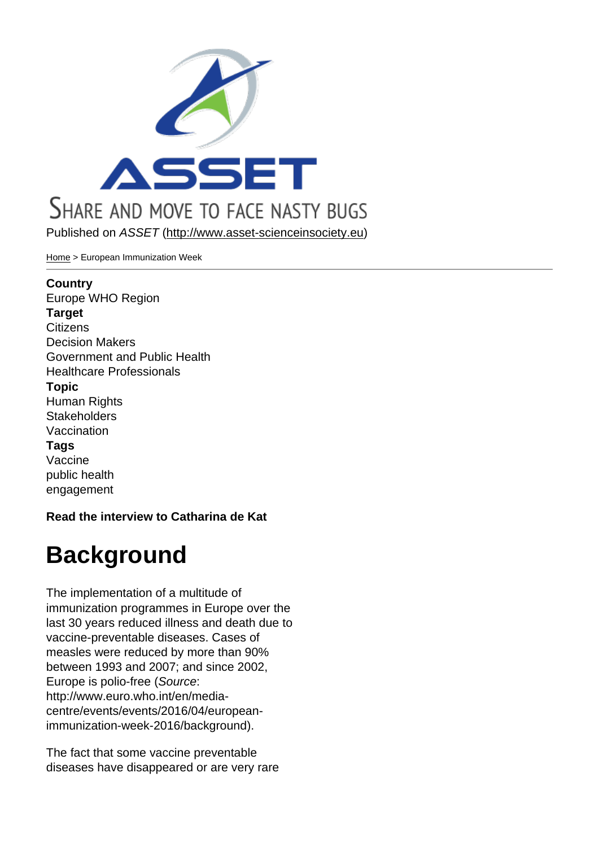Published on ASSET (http://www.asset-scienceinsociety.eu)

Home > European Immunization Week

**Country** Europe WHO Region [Targ](http://www.asset-scienceinsociety.eu/)et **Citizens** Decision Makers Government and Public Health Healthcare Professionals Topic Human Rights **Stakeholders** Vaccination Tags Vaccine public health engagement

Read the interview to Catharina de Kat

# **Background**

The implementation of a multitude of immunization programmes in Europe over the last 30 years reduced illness and death due to vaccine-preventable diseases. Cases of measles were reduced by more than 90% between 1993 and 2007; and since 2002, Europe is polio-free (Source: http://www.euro.who.int/en/mediacentre/events/events/2016/04/europeanimmunization-week-2016/background).

The fact that some vaccine preventable diseases have disappeared or are very rare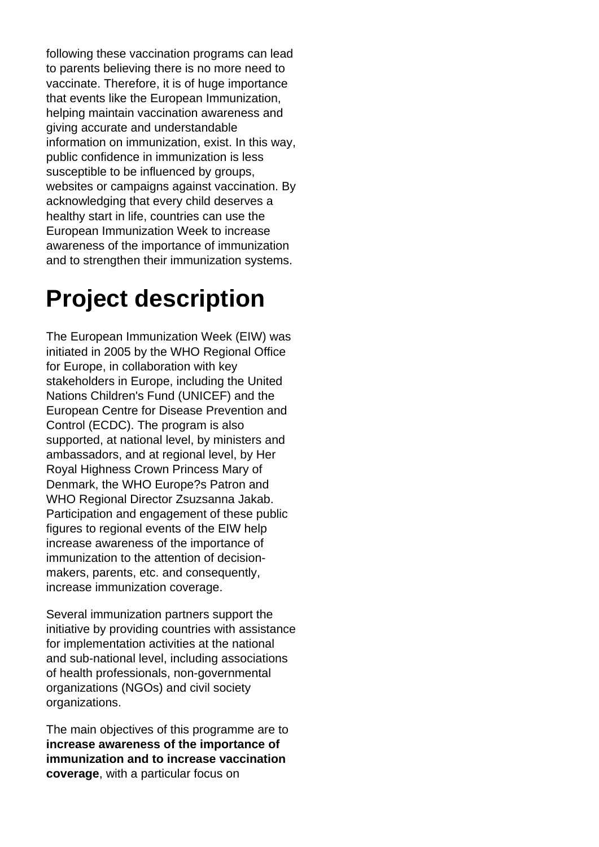following these vaccination programs can lead to parents believing there is no more need to vaccinate. Therefore, it is of huge importance that events like the European Immunization, helping maintain vaccination awareness and giving accurate and understandable information on immunization, exist. In this way, public confidence in immunization is less susceptible to be influenced by groups, websites or campaigns against vaccination. By acknowledging that every child deserves a healthy start in life, countries can use the European Immunization Week to increase awareness of the importance of immunization and to strengthen their immunization systems.

# **Project description**

The European Immunization Week (EIW) was initiated in 2005 by the WHO Regional Office for Europe, in collaboration with key stakeholders in Europe, including the United Nations Children's Fund (UNICEF) and the European Centre for Disease Prevention and Control (ECDC). The program is also supported, at national level, by ministers and ambassadors, and at regional level, by Her Royal Highness Crown Princess Mary of Denmark, the WHO Europe?s Patron and WHO Regional Director Zsuzsanna Jakab. Participation and engagement of these public figures to regional events of the EIW help increase awareness of the importance of immunization to the attention of decisionmakers, parents, etc. and consequently, increase immunization coverage.

Several immunization partners support the initiative by providing countries with assistance for implementation activities at the national and sub-national level, including associations of health professionals, non-governmental organizations (NGOs) and civil society organizations.

The main objectives of this programme are to **increase awareness of the importance of immunization and to increase vaccination coverage**, with a particular focus on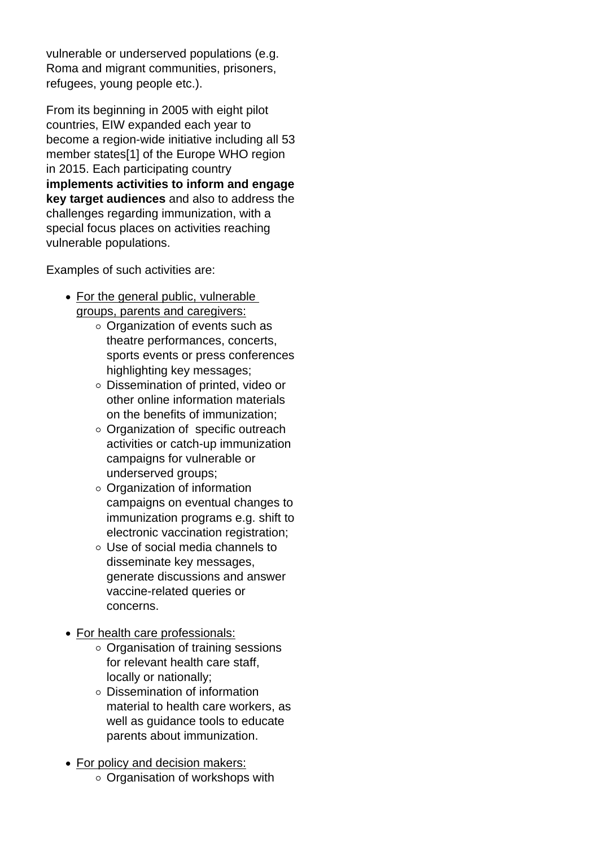vulnerable or underserved populations (e.g. Roma and migrant communities, prisoners, refugees, young people etc.).

From its beginning in 2005 with eight pilot countries, EIW expanded each year to become a region-wide initiative including all 53 member states[1] of the Europe WHO region in 2015. Each participating country **implements activities to inform and engage key target audiences** and also to address the challenges regarding immunization, with a special focus places on activities reaching vulnerable populations.

Examples of such activities are:

- For the general public, vulnerable groups, parents and caregivers:
	- Organization of events such as theatre performances, concerts, sports events or press conferences highlighting key messages;
	- Dissemination of printed, video or other online information materials on the benefits of immunization;
	- Organization of specific outreach activities or catch-up immunization campaigns for vulnerable or underserved groups;
	- Organization of information campaigns on eventual changes to immunization programs e.g. shift to electronic vaccination registration;
	- Use of social media channels to disseminate key messages, generate discussions and answer vaccine-related queries or concerns.
- For health care professionals:
	- Organisation of training sessions for relevant health care staff, locally or nationally;
	- Dissemination of information material to health care workers, as well as guidance tools to educate parents about immunization.
- For policy and decision makers:
	- $\circ$  Organisation of workshops with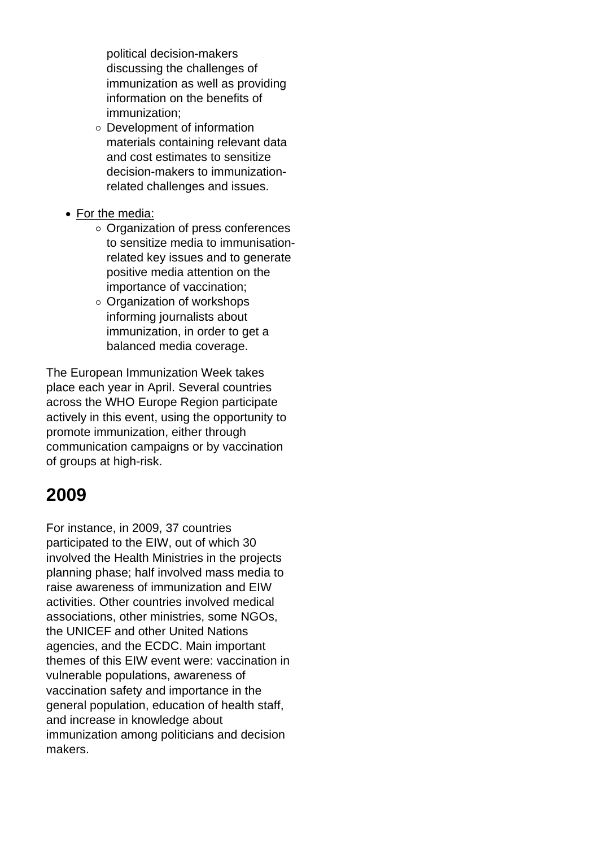political decision-makers discussing the challenges of immunization as well as providing information on the benefits of immunization;

- Development of information materials containing relevant data and cost estimates to sensitize decision-makers to immunizationrelated challenges and issues.
- For the media:
	- Organization of press conferences to sensitize media to immunisationrelated key issues and to generate positive media attention on the importance of vaccination;
	- $\circ$  Organization of workshops informing journalists about immunization, in order to get a balanced media coverage.

The European Immunization Week takes place each year in April. Several countries across the WHO Europe Region participate actively in this event, using the opportunity to promote immunization, either through communication campaigns or by vaccination of groups at high-risk.

## **2009**

For instance, in 2009, 37 countries participated to the EIW, out of which 30 involved the Health Ministries in the projects planning phase; half involved mass media to raise awareness of immunization and EIW activities. Other countries involved medical associations, other ministries, some NGOs, the UNICEF and other United Nations agencies, and the ECDC. Main important themes of this EIW event were: vaccination in vulnerable populations, awareness of vaccination safety and importance in the general population, education of health staff, and increase in knowledge about immunization among politicians and decision makers.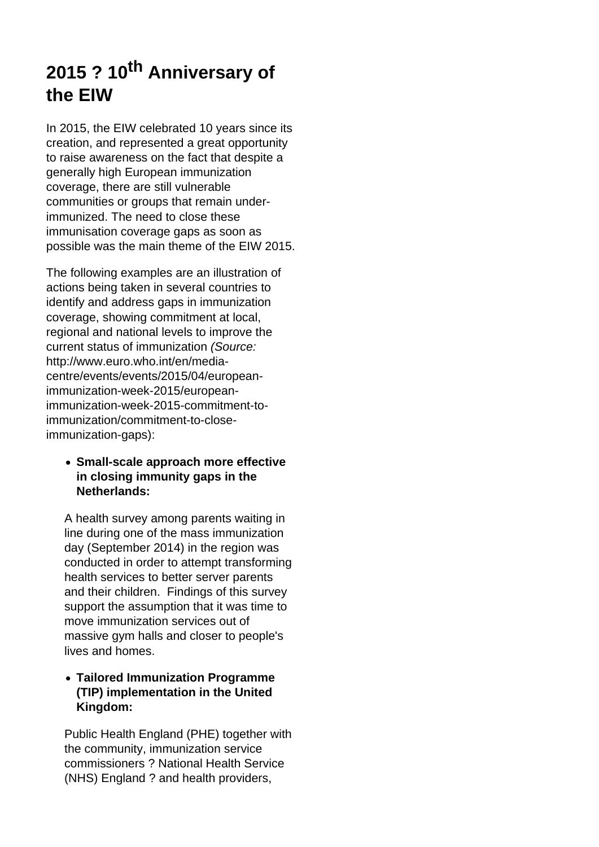## **2015 ? 10th Anniversary of the EIW**

In 2015, the EIW celebrated 10 years since its creation, and represented a great opportunity to raise awareness on the fact that despite a generally high European immunization coverage, there are still vulnerable communities or groups that remain underimmunized. The need to close these immunisation coverage gaps as soon as possible was the main theme of the EIW 2015.

The following examples are an illustration of actions being taken in several countries to identify and address gaps in immunization coverage, showing commitment at local, regional and national levels to improve the current status of immunization (Source: http://www.euro.who.int/en/mediacentre/events/events/2015/04/europeanimmunization-week-2015/europeanimmunization-week-2015-commitment-toimmunization/commitment-to-closeimmunization-gaps):

#### **Small-scale approach more effective in closing immunity gaps in the Netherlands:**

A health survey among parents waiting in line during one of the mass immunization day (September 2014) in the region was conducted in order to attempt transforming health services to better server parents and their children. Findings of this survey support the assumption that it was time to move immunization services out of massive gym halls and closer to people's lives and homes.

#### **Tailored Immunization Programme (TIP) implementation in the United Kingdom:**

Public Health England (PHE) together with the community, immunization service commissioners ? National Health Service (NHS) England ? and health providers,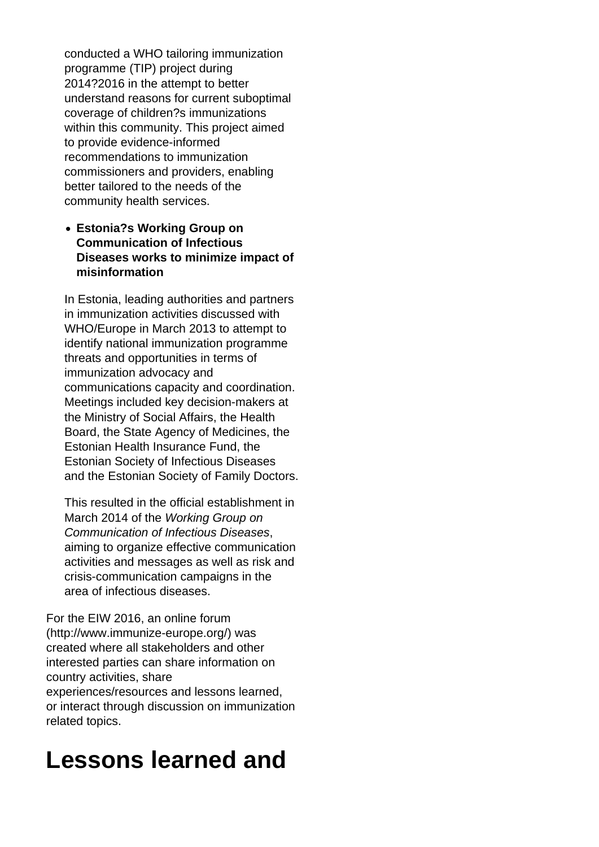conducted a WHO tailoring immunization programme (TIP) project during 2014?2016 in the attempt to better understand reasons for current suboptimal coverage of children?s immunizations within this community. This project aimed to provide evidence-informed recommendations to immunization commissioners and providers, enabling better tailored to the needs of the community health services.

#### **Estonia?s Working Group on Communication of Infectious Diseases works to minimize impact of misinformation**

In Estonia, leading authorities and partners in immunization activities discussed with WHO/Europe in March 2013 to attempt to identify national immunization programme threats and opportunities in terms of immunization advocacy and communications capacity and coordination. Meetings included key decision-makers at the Ministry of Social Affairs, the Health Board, the State Agency of Medicines, the Estonian Health Insurance Fund, the Estonian Society of Infectious Diseases and the Estonian Society of Family Doctors.

This resulted in the official establishment in March 2014 of the Working Group on Communication of Infectious Diseases, aiming to organize effective communication activities and messages as well as risk and crisis-communication campaigns in the area of infectious diseases.

For the EIW 2016, an online forum (http://www.immunize-europe.org/) was created where all stakeholders and other interested parties can share information on country activities, share experiences/resources and lessons learned, or interact through discussion on immunization related topics.

# **Lessons learned and**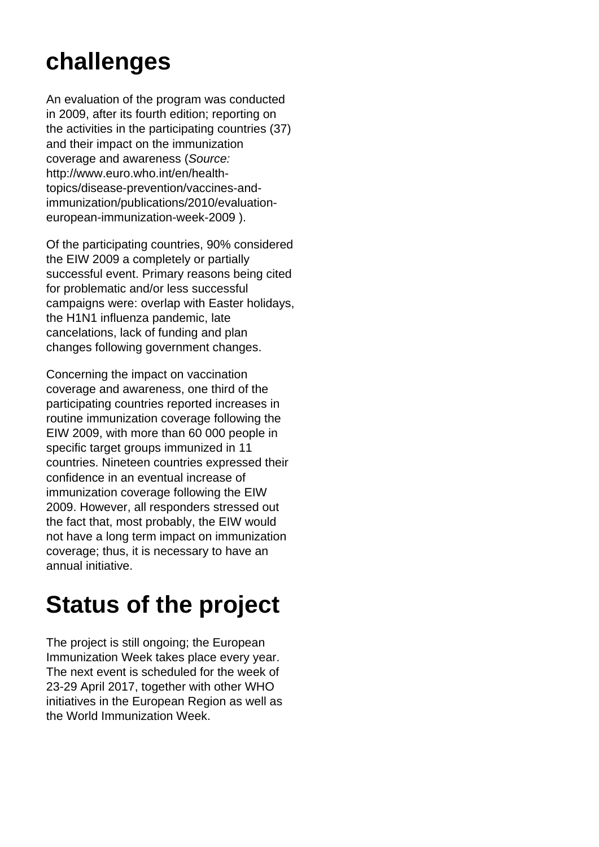# **challenges**

An evaluation of the program was conducted in 2009, after its fourth edition; reporting on the activities in the participating countries (37) and their impact on the immunization coverage and awareness (Source: http://www.euro.who.int/en/healthtopics/disease-prevention/vaccines-andimmunization/publications/2010/evaluationeuropean-immunization-week-2009 ).

Of the participating countries, 90% considered the EIW 2009 a completely or partially successful event. Primary reasons being cited for problematic and/or less successful campaigns were: overlap with Easter holidays, the H1N1 influenza pandemic, late cancelations, lack of funding and plan changes following government changes.

Concerning the impact on vaccination coverage and awareness, one third of the participating countries reported increases in routine immunization coverage following the EIW 2009, with more than 60 000 people in specific target groups immunized in 11 countries. Nineteen countries expressed their confidence in an eventual increase of immunization coverage following the EIW 2009. However, all responders stressed out the fact that, most probably, the EIW would not have a long term impact on immunization coverage; thus, it is necessary to have an annual initiative.

# **Status of the project**

The project is still ongoing; the European Immunization Week takes place every year. The next event is scheduled for the week of 23-29 April 2017, together with other WHO initiatives in the European Region as well as the World Immunization Week.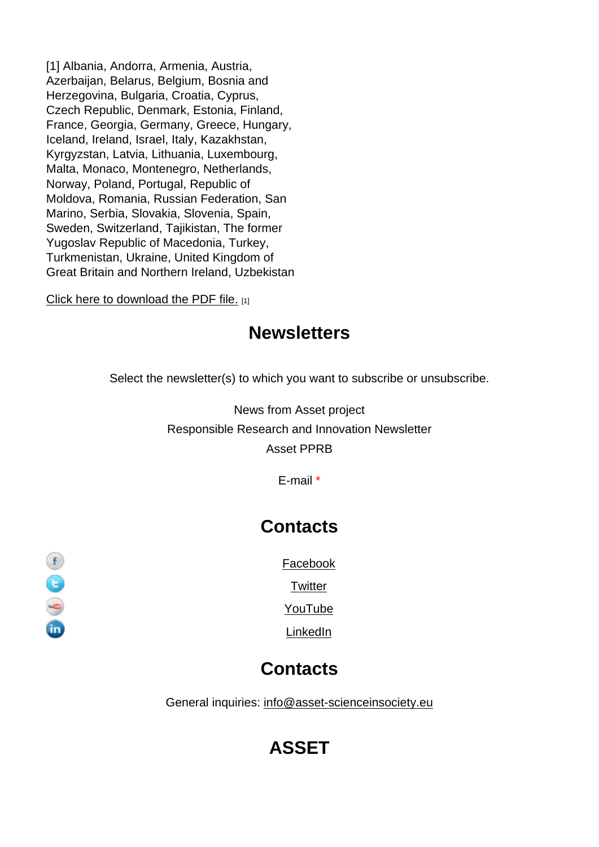[1] Albania, Andorra, Armenia, Austria, Azerbaijan, Belarus, Belgium, Bosnia and Herzegovina, Bulgaria, Croatia, Cyprus, Czech Republic, Denmark, Estonia, Finland, France, Georgia, Germany, Greece, Hungary, Iceland, Ireland, Israel, Italy, Kazakhstan, Kyrgyzstan, Latvia, Lithuania, Luxembourg, Malta, Monaco, Montenegro, Netherlands, Norway, Poland, Portugal, Republic of Moldova, Romania, Russian Federation, San Marino, Serbia, Slovakia, Slovenia, Spain, Sweden, Switzerland, Tajikistan, The former Yugoslav Republic of Macedonia, Turkey, Turkmenistan, Ukraine, United Kingdom of Great Britain and Northern Ireland, Uzbekistan

Click here to download the PDF file. [1]

### **Newsletters** european and the control of the control of the control of the control of the control of the control of the control of the control of the control of the control of the control of the control of the control of the control of

Select the newsletter(s) to which you want to subscribe or unsubscribe.

News from Asset project Responsible Research and Innovation Newsletter Asset PPRB

E-mail \*

## **Contacts**

#### Facebook

**Twitter** 

YouTube

LinkedIn

## **Contacts**

General inquiries: info@asset-scienceinsociety.eu

## [ASSET](mailto:info@asset-scienceinsociety.eu)